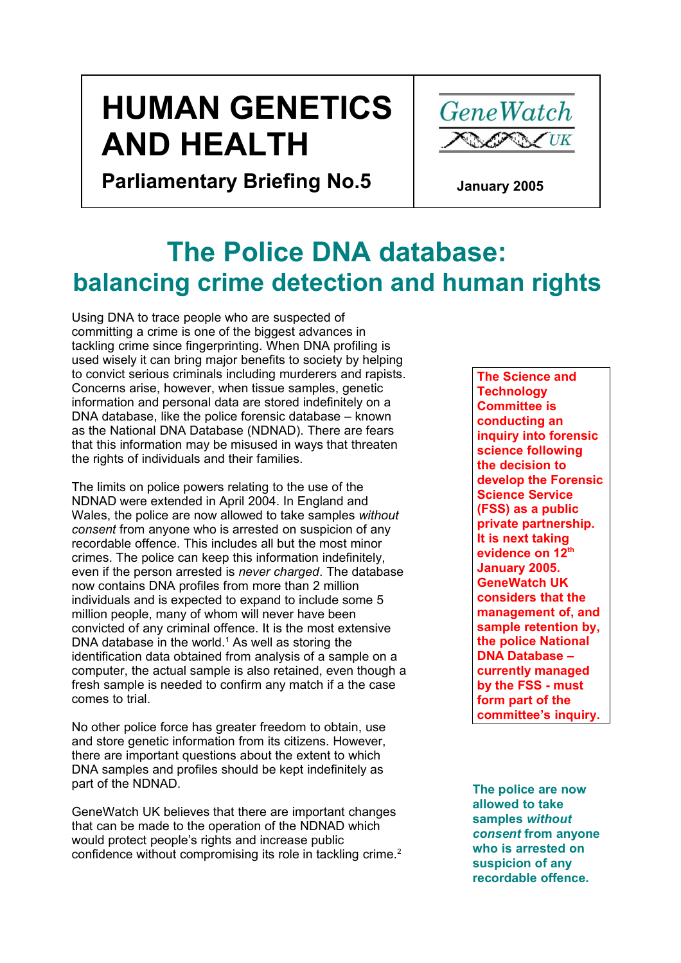# **HUMAN GENETICS AND HEALTH**



**Parliamentary Briefing No.5**

 **January 2005**

# **The Police DNA database: balancing crime detection and human rights**

Using DNA to trace people who are suspected of committing a crime is one of the biggest advances in tackling crime since fingerprinting. When DNA profiling is used wisely it can bring major benefits to society by helping to convict serious criminals including murderers and rapists. Concerns arise, however, when tissue samples, genetic information and personal data are stored indefinitely on a DNA database, like the police forensic database – known as the National DNA Database (NDNAD). There are fears that this information may be misused in ways that threaten the rights of individuals and their families.

The limits on police powers relating to the use of the NDNAD were extended in April 2004. In England and Wales, the police are now allowed to take samples *without consent* from anyone who is arrested on suspicion of any recordable offence. This includes all but the most minor crimes. The police can keep this information indefinitely, even if the person arrested is *never charged*. The database now contains DNA profiles from more than 2 million individuals and is expected to expand to include some 5 million people, many of whom will never have been convicted of any criminal offence. It is the most extensive DNA database in the world. $1$  As well as storing the identification data obtained from analysis of a sample on a computer, the actual sample is also retained, even though a fresh sample is needed to confirm any match if a the case comes to trial.

No other police force has greater freedom to obtain, use and store genetic information from its citizens. However, there are important questions about the extent to which DNA samples and profiles should be kept indefinitely as part of the NDNAD.

GeneWatch UK believes that there are important changes that can be made to the operation of the NDNAD which would protect people's rights and increase public confidence without compromising its role in tackling crime.<sup>2</sup>

**The Science and Technology Committee is conducting an inquiry into forensic science following the decision to develop the Forensic Science Service (FSS) as a public private partnership. It is next taking evidence on 12 th January 2005. GeneWatch UK considers that the management of, and sample retention by, the police National DNA Database – currently managed by the FSS - must form part of the committee's inquiry.**

**The police are now allowed to take samples** *without consent* **from anyone who is arrested on suspicion of any recordable offence.**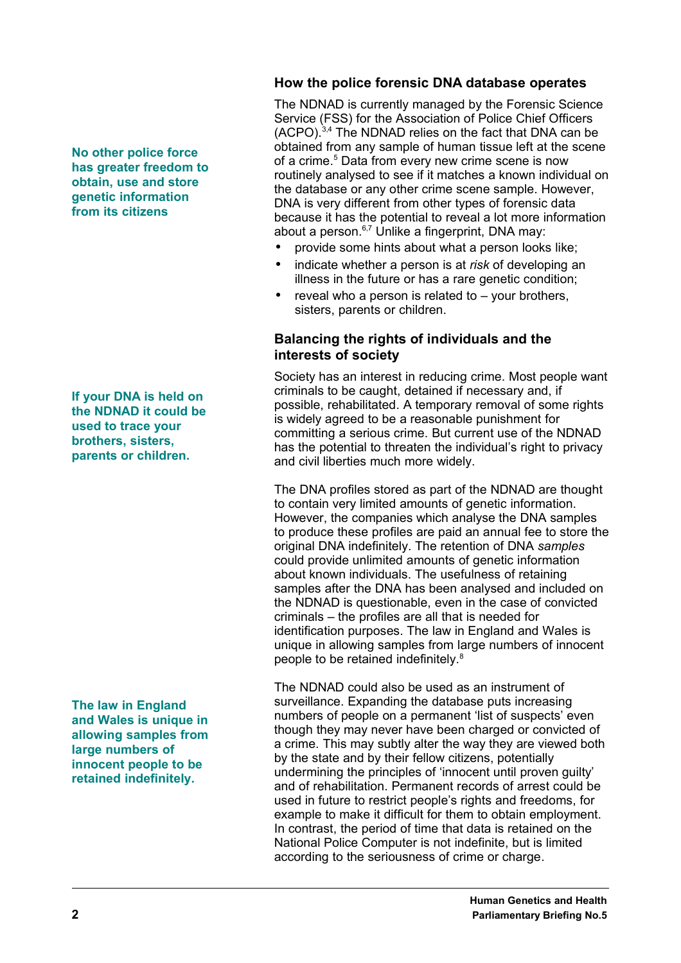#### **How the police forensic DNA database operates**

The NDNAD is currently managed by the Forensic Science Service (FSS) for the Association of Police Chief Officers (ACPO).3,4 The NDNAD relies on the fact that DNA can be obtained from any sample of human tissue left at the scene of a crime. <sup>5</sup> Data from every new crime scene is now routinely analysed to see if it matches a known individual on the database or any other crime scene sample. However, DNA is very different from other types of forensic data because it has the potential to reveal a lot more information about a person.<sup>6,7</sup> Unlike a fingerprint, DNA may:

- provide some hints about what a person looks like;
- indicate whether a person is at *risk* of developing an illness in the future or has a rare genetic condition;
- reveal who a person is related to  $-$  your brothers, sisters, parents or children.

#### **Balancing the rights of individuals and the interests of society**

Society has an interest in reducing crime. Most people want criminals to be caught, detained if necessary and, if possible, rehabilitated. A temporary removal of some rights is widely agreed to be a reasonable punishment for committing a serious crime. But current use of the NDNAD has the potential to threaten the individual's right to privacy and civil liberties much more widely.

The DNA profiles stored as part of the NDNAD are thought to contain very limited amounts of genetic information. However, the companies which analyse the DNA samples to produce these profiles are paid an annual fee to store the original DNA indefinitely. The retention of DNA *samples* could provide unlimited amounts of genetic information about known individuals. The usefulness of retaining samples after the DNA has been analysed and included on the NDNAD is questionable, even in the case of convicted criminals – the profiles are all that is needed for identification purposes. The law in England and Wales is unique in allowing samples from large numbers of innocent people to be retained indefinitely.<sup>8</sup>

The NDNAD could also be used as an instrument of surveillance. Expanding the database puts increasing numbers of people on a permanent 'list of suspects' even though they may never have been charged or convicted of a crime. This may subtly alter the way they are viewed both by the state and by their fellow citizens, potentially undermining the principles of 'innocent until proven guilty' and of rehabilitation. Permanent records of arrest could be used in future to restrict people's rights and freedoms, for example to make it difficult for them to obtain employment. In contrast, the period of time that data is retained on the National Police Computer is not indefinite, but is limited according to the seriousness of crime or charge.

**No other police force has greater freedom to obtain, use and store genetic information from its citizens**

**If your DNA is held on the NDNAD it could be used to trace your brothers, sisters, parents or children.**

**The law in England and Wales is unique in allowing samples from large numbers of innocent people to be retained indefinitely.**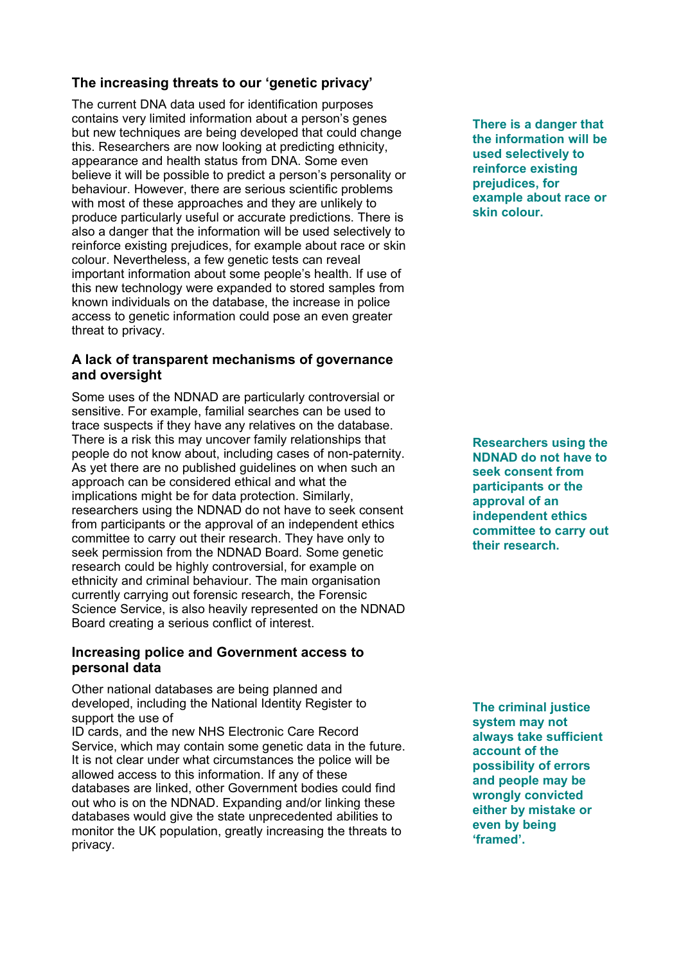## **The increasing threats to our 'genetic privacy'**

The current DNA data used for identification purposes contains very limited information about a person's genes but new techniques are being developed that could change this. Researchers are now looking at predicting ethnicity, appearance and health status from DNA. Some even believe it will be possible to predict a person's personality or behaviour. However, there are serious scientific problems with most of these approaches and they are unlikely to produce particularly useful or accurate predictions. There is also a danger that the information will be used selectively to reinforce existing prejudices, for example about race or skin colour. Nevertheless, a few genetic tests can reveal important information about some people's health. If use of this new technology were expanded to stored samples from known individuals on the database, the increase in police access to genetic information could pose an even greater threat to privacy.

#### **A lack of transparent mechanisms of governance and oversight**

Some uses of the NDNAD are particularly controversial or sensitive. For example, familial searches can be used to trace suspects if they have any relatives on the database. There is a risk this may uncover family relationships that people do not know about, including cases of non-paternity. As yet there are no published guidelines on when such an approach can be considered ethical and what the implications might be for data protection. Similarly, researchers using the NDNAD do not have to seek consent from participants or the approval of an independent ethics committee to carry out their research. They have only to seek permission from the NDNAD Board. Some genetic research could be highly controversial, for example on ethnicity and criminal behaviour. The main organisation currently carrying out forensic research, the Forensic Science Service, is also heavily represented on the NDNAD Board creating a serious conflict of interest.

#### **Increasing police and Government access to personal data**

Other national databases are being planned and developed, including the National Identity Register to support the use of

ID cards, and the new NHS Electronic Care Record Service, which may contain some genetic data in the future. It is not clear under what circumstances the police will be allowed access to this information. If any of these databases are linked, other Government bodies could find out who is on the NDNAD. Expanding and/or linking these databases would give the state unprecedented abilities to monitor the UK population, greatly increasing the threats to privacy.

**There is a danger that the information will be used selectively to reinforce existing prejudices, for example about race or skin colour.**

**Researchers using the NDNAD do not have to seek consent from participants or the approval of an independent ethics committee to carry out their research.**

**The criminal justice system may not always take sufficient account of the possibility of errors and people may be wrongly convicted either by mistake or even by being 'framed'.**